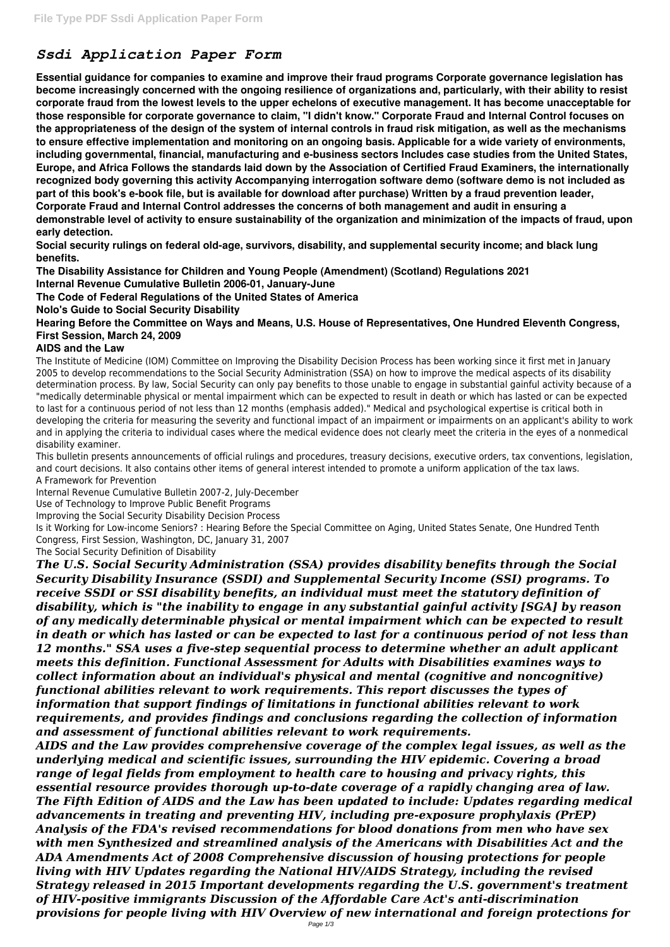## *Ssdi Application Paper Form*

**Essential guidance for companies to examine and improve their fraud programs Corporate governance legislation has become increasingly concerned with the ongoing resilience of organizations and, particularly, with their ability to resist corporate fraud from the lowest levels to the upper echelons of executive management. It has become unacceptable for those responsible for corporate governance to claim, "I didn't know." Corporate Fraud and Internal Control focuses on the appropriateness of the design of the system of internal controls in fraud risk mitigation, as well as the mechanisms to ensure effective implementation and monitoring on an ongoing basis. Applicable for a wide variety of environments, including governmental, financial, manufacturing and e-business sectors Includes case studies from the United States, Europe, and Africa Follows the standards laid down by the Association of Certified Fraud Examiners, the internationally recognized body governing this activity Accompanying interrogation software demo (software demo is not included as part of this book's e-book file, but is available for download after purchase) Written by a fraud prevention leader, Corporate Fraud and Internal Control addresses the concerns of both management and audit in ensuring a demonstrable level of activity to ensure sustainability of the organization and minimization of the impacts of fraud, upon early detection.**

**Social security rulings on federal old-age, survivors, disability, and supplemental security income; and black lung benefits.**

**The Disability Assistance for Children and Young People (Amendment) (Scotland) Regulations 2021**

**Internal Revenue Cumulative Bulletin 2006-01, January-June**

**The Code of Federal Regulations of the United States of America**

**Nolo's Guide to Social Security Disability**

**Hearing Before the Committee on Ways and Means, U.S. House of Representatives, One Hundred Eleventh Congress, First Session, March 24, 2009**

## **AIDS and the Law**

The Institute of Medicine (IOM) Committee on Improving the Disability Decision Process has been working since it first met in January 2005 to develop recommendations to the Social Security Administration (SSA) on how to improve the medical aspects of its disability determination process. By law, Social Security can only pay benefits to those unable to engage in substantial gainful activity because of a "medically determinable physical or mental impairment which can be expected to result in death or which has lasted or can be expected to last for a continuous period of not less than 12 months (emphasis added)." Medical and psychological expertise is critical both in developing the criteria for measuring the severity and functional impact of an impairment or impairments on an applicant's ability to work and in applying the criteria to individual cases where the medical evidence does not clearly meet the criteria in the eyes of a nonmedical disability examiner.

This bulletin presents announcements of official rulings and procedures, treasury decisions, executive orders, tax conventions, legislation, and court decisions. It also contains other items of general interest intended to promote a uniform application of the tax laws. A Framework for Prevention

Internal Revenue Cumulative Bulletin 2007-2, July-December

Use of Technology to Improve Public Benefit Programs

Improving the Social Security Disability Decision Process

Is it Working for Low-income Seniors? : Hearing Before the Special Committee on Aging, United States Senate, One Hundred Tenth Congress, First Session, Washington, DC, January 31, 2007

The Social Security Definition of Disability

*The U.S. Social Security Administration (SSA) provides disability benefits through the Social Security Disability Insurance (SSDI) and Supplemental Security Income (SSI) programs. To receive SSDI or SSI disability benefits, an individual must meet the statutory definition of disability, which is "the inability to engage in any substantial gainful activity [SGA] by reason of any medically determinable physical or mental impairment which can be expected to result in death or which has lasted or can be expected to last for a continuous period of not less than 12 months." SSA uses a five-step sequential process to determine whether an adult applicant meets this definition. Functional Assessment for Adults with Disabilities examines ways to collect information about an individual's physical and mental (cognitive and noncognitive) functional abilities relevant to work requirements. This report discusses the types of information that support findings of limitations in functional abilities relevant to work requirements, and provides findings and conclusions regarding the collection of information and assessment of functional abilities relevant to work requirements. AIDS and the Law provides comprehensive coverage of the complex legal issues, as well as the underlying medical and scientific issues, surrounding the HIV epidemic. Covering a broad range of legal fields from employment to health care to housing and privacy rights, this essential resource provides thorough up-to-date coverage of a rapidly changing area of law. The Fifth Edition of AIDS and the Law has been updated to include: Updates regarding medical advancements in treating and preventing HIV, including pre-exposure prophylaxis (PrEP) Analysis of the FDA's revised recommendations for blood donations from men who have sex with men Synthesized and streamlined analysis of the Americans with Disabilities Act and the ADA Amendments Act of 2008 Comprehensive discussion of housing protections for people living with HIV Updates regarding the National HIV/AIDS Strategy, including the revised Strategy released in 2015 Important developments regarding the U.S. government's treatment of HIV-positive immigrants Discussion of the Affordable Care Act's anti-discrimination provisions for people living with HIV Overview of new international and foreign protections for*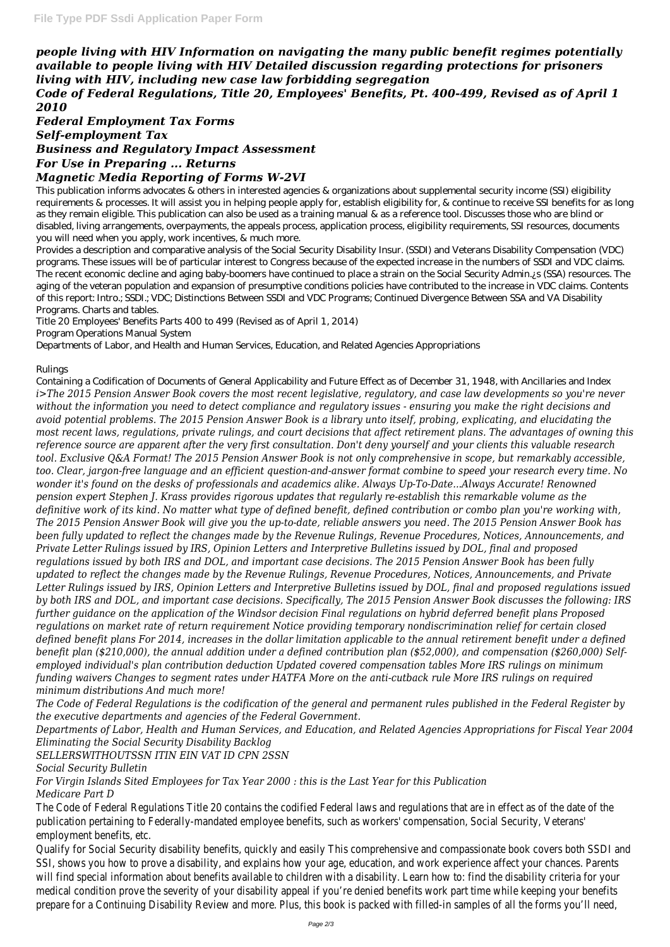*people living with HIV Information on navigating the many public benefit regimes potentially available to people living with HIV Detailed discussion regarding protections for prisoners living with HIV, including new case law forbidding segregation*

*Code of Federal Regulations, Title 20, Employees' Benefits, Pt. 400-499, Revised as of April 1 2010*

*Federal Employment Tax Forms Self-employment Tax Business and Regulatory Impact Assessment For Use in Preparing ... Returns*

## *Magnetic Media Reporting of Forms W-2VI*

This publication informs advocates & others in interested agencies & organizations about supplemental security income (SSI) eligibility requirements & processes. It will assist you in helping people apply for, establish eligibility for, & continue to receive SSI benefits for as long as they remain eligible. This publication can also be used as a training manual & as a reference tool. Discusses those who are blind or disabled, living arrangements, overpayments, the appeals process, application process, eligibility requirements, SSI resources, documents you will need when you apply, work incentives, & much more.

Provides a description and comparative analysis of the Social Security Disability Insur. (SSDI) and Veterans Disability Compensation (VDC) programs. These issues will be of particular interest to Congress because of the expected increase in the numbers of SSDI and VDC claims. The recent economic decline and aging baby-boomers have continued to place a strain on the Social Security Admin.¿s (SSA) resources. The aging of the veteran population and expansion of presumptive conditions policies have contributed to the increase in VDC claims. Contents of this report: Intro.; SSDI.; VDC; Distinctions Between SSDI and VDC Programs; Continued Divergence Between SSA and VA Disability Programs. Charts and tables.

Title 20 Employees' Benefits Parts 400 to 499 (Revised as of April 1, 2014)

Program Operations Manual System

Departments of Labor, and Health and Human Services, Education, and Related Agencies Appropriations

## Rulings

The Code of Federal Regulations Title 20 contains the codified Federal laws and regulations that are in publication pertaining to Federally-mandated employee benefits, such as workers' compensation, Social employment benefits, etc.

Qualify for Social Security disability benefits, quickly and easily This comprehensive and compassionate SSI, shows you how to prove a disability, and explains how your age, education, and work experience will find special information about benefits available to children with a disability. Learn how to: find the medical condition prove the severity of your disability appeal if you're denied benefits work part time prepare for a Continuing Disability Review and more. Plus, this book is packed with filled-in samples of

Containing a Codification of Documents of General Applicability and Future Effect as of December 31, 1948, with Ancillaries and Index *i>The 2015 Pension Answer Book covers the most recent legislative, regulatory, and case law developments so you're never without the information you need to detect compliance and regulatory issues - ensuring you make the right decisions and avoid potential problems. The 2015 Pension Answer Book is a library unto itself, probing, explicating, and elucidating the most recent laws, regulations, private rulings, and court decisions that affect retirement plans. The advantages of owning this reference source are apparent after the very first consultation. Don't deny yourself and your clients this valuable research tool. Exclusive Q&A Format! The 2015 Pension Answer Book is not only comprehensive in scope, but remarkably accessible, too. Clear, jargon-free language and an efficient question-and-answer format combine to speed your research every time. No wonder it's found on the desks of professionals and academics alike. Always Up-To-Date...Always Accurate! Renowned pension expert Stephen J. Krass provides rigorous updates that regularly re-establish this remarkable volume as the definitive work of its kind. No matter what type of defined benefit, defined contribution or combo plan you're working with, The 2015 Pension Answer Book will give you the up-to-date, reliable answers you need. The 2015 Pension Answer Book has been fully updated to reflect the changes made by the Revenue Rulings, Revenue Procedures, Notices, Announcements, and Private Letter Rulings issued by IRS, Opinion Letters and Interpretive Bulletins issued by DOL, final and proposed regulations issued by both IRS and DOL, and important case decisions. The 2015 Pension Answer Book has been fully updated to reflect the changes made by the Revenue Rulings, Revenue Procedures, Notices, Announcements, and Private Letter Rulings issued by IRS, Opinion Letters and Interpretive Bulletins issued by DOL, final and proposed regulations issued by both IRS and DOL, and important case decisions. Specifically, The 2015 Pension Answer Book discusses the following: IRS further guidance on the application of the Windsor decision Final regulations on hybrid deferred benefit plans Proposed regulations on market rate of return requirement Notice providing temporary nondiscrimination relief for certain closed defined benefit plans For 2014, increases in the dollar limitation applicable to the annual retirement benefit under a defined benefit plan (\$210,000), the annual addition under a defined contribution plan (\$52,000), and compensation (\$260,000) Selfemployed individual's plan contribution deduction Updated covered compensation tables More IRS rulings on minimum funding waivers Changes to segment rates under HATFA More on the anti-cutback rule More IRS rulings on required minimum distributions And much more!*

*The Code of Federal Regulations is the codification of the general and permanent rules published in the Federal Register by*

*the executive departments and agencies of the Federal Government.*

*Departments of Labor, Health and Human Services, and Education, and Related Agencies Appropriations for Fiscal Year 2004 Eliminating the Social Security Disability Backlog*

*SELLERSWITHOUTSSN ITIN EIN VAT ID CPN 2SSN*

*Social Security Bulletin*

*For Virgin Islands Sited Employees for Tax Year 2000 : this is the Last Year for this Publication*

*Medicare Part D*